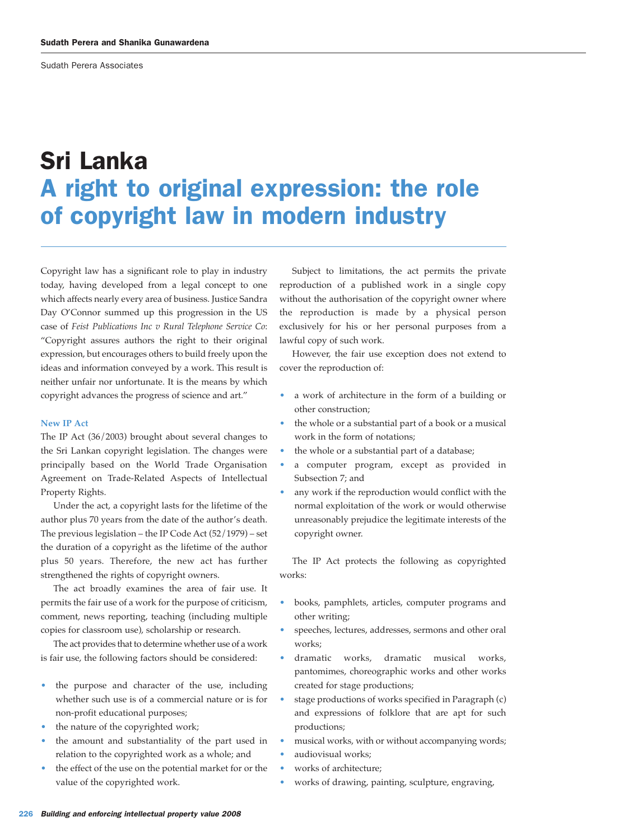Sudath Perera Associates

# Sri Lanka A right to original expression: the role of copyright law in modern industry

Copyright law has a significant role to play in industry today, having developed from a legal concept to one which affects nearly every area of business. Justice Sandra Day O'Connor summed up this progression in the US case of *Feist Publications Inc v Rural Telephone Service Co*: "Copyright assures authors the right to their original expression, but encourages others to build freely upon the ideas and information conveyed by a work. This result is neither unfair nor unfortunate. It is the means by which copyright advances the progress of science and art."

# **New IP Act**

The IP Act (36/2003) brought about several changes to the Sri Lankan copyright legislation. The changes were principally based on the World Trade Organisation Agreement on Trade-Related Aspects of Intellectual Property Rights.

Under the act, a copyright lasts for the lifetime of the author plus 70 years from the date of the author's death. The previous legislation – the IP Code Act (52/1979) – set the duration of a copyright as the lifetime of the author plus 50 years. Therefore, the new act has further strengthened the rights of copyright owners.

The act broadly examines the area of fair use. It permits the fair use of a work for the purpose of criticism, comment, news reporting, teaching (including multiple copies for classroom use), scholarship or research.

The act provides that to determine whether use of a work is fair use, the following factors should be considered:

- the purpose and character of the use, including whether such use is of a commercial nature or is for non-profit educational purposes;
- the nature of the copyrighted work;
- the amount and substantiality of the part used in relation to the copyrighted work as a whole; and
- the effect of the use on the potential market for or the value of the copyrighted work.

Subject to limitations, the act permits the private reproduction of a published work in a single copy without the authorisation of the copyright owner where the reproduction is made by a physical person exclusively for his or her personal purposes from a lawful copy of such work.

However, the fair use exception does not extend to cover the reproduction of:

- a work of architecture in the form of a building or other construction;
- the whole or a substantial part of a book or a musical work in the form of notations;
- the whole or a substantial part of a database;
- a computer program, except as provided in Subsection 7; and
- any work if the reproduction would conflict with the normal exploitation of the work or would otherwise unreasonably prejudice the legitimate interests of the copyright owner.

The IP Act protects the following as copyrighted works:

- books, pamphlets, articles, computer programs and other writing;
- speeches, lectures, addresses, sermons and other oral works;
- dramatic works, dramatic musical works, pantomimes, choreographic works and other works created for stage productions;
- stage productions of works specified in Paragraph (c) and expressions of folklore that are apt for such productions;
- musical works, with or without accompanying words; • audiovisual works;
- works of architecture;
- works of drawing, painting, sculpture, engraving,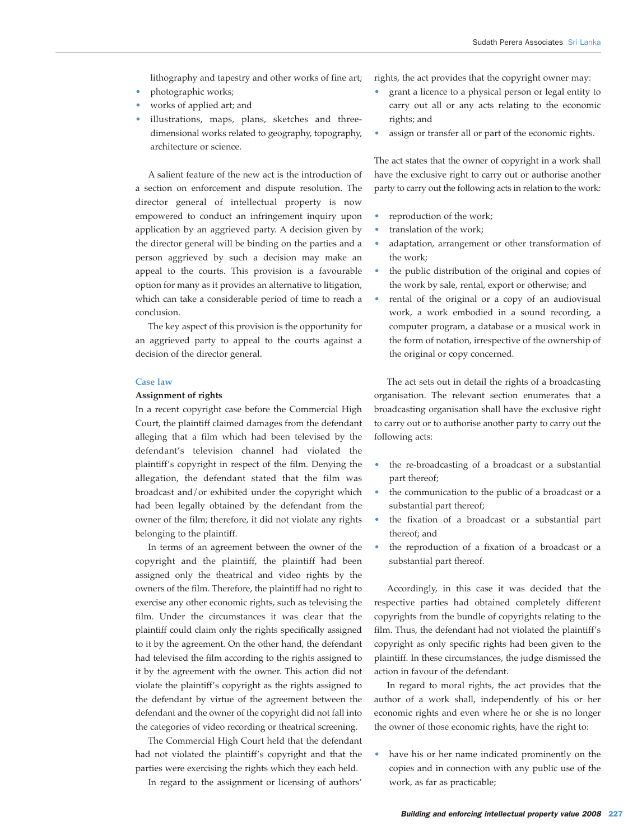lithography and tapestry and other works of fine art;

- photographic works;
- works of applied art; and
- illustrations, maps, plans, sketches and threedimensional works related to geography, topography, architecture or science.

A salient feature of the new act is the introduction of a section on enforcement and dispute resolution. The director general of intellectual property is now empowered to conduct an infringement inquiry upon application by an aggrieved party. A decision given by the director general will be binding on the parties and a person aggrieved by such a decision may make an appeal to the courts. This provision is a favourable option for many as it provides an alternative to litigation, which can take a considerable period of time to reach a conclusion.

The key aspect of this provision is the opportunity for an aggrieved party to appeal to the courts against a decision of the director general.

# **Case law**

### **Assignment of rights**

In a recent copyright case before the Commercial High Court, the plaintiff claimed damages from the defendant alleging that a film which had been televised by the defendant's television channel had violated the plaintiff's copyright in respect of the film. Denying the allegation, the defendant stated that the film was broadcast and/or exhibited under the copyright which had been legally obtained by the defendant from the owner of the film; therefore, it did not violate any rights belonging to the plaintiff.

In terms of an agreement between the owner of the copyright and the plaintiff, the plaintiff had been assigned only the theatrical and video rights by the owners of the film. Therefore, the plaintiff had no right to exercise any other economic rights, such as televising the film. Under the circumstances it was clear that the plaintiff could claim only the rights specifically assigned to it by the agreement. On the other hand, the defendant had televised the film according to the rights assigned to it by the agreement with the owner. This action did not violate the plaintiff's copyright as the rights assigned to the defendant by virtue of the agreement between the defendant and the owner of the copyright did not fall into the categories of video recording or theatrical screening.

The Commercial High Court held that the defendant had not violated the plaintiff's copyright and that the parties were exercising the rights which they each held.

In regard to the assignment or licensing of authors'

rights, the act provides that the copyright owner may:

- grant a licence to a physical person or legal entity to carry out all or any acts relating to the economic rights; and
- assign or transfer all or part of the economic rights.

The act states that the owner of copyright in a work shall have the exclusive right to carry out or authorise another party to carry out the following acts in relation to the work:

- reproduction of the work;
- translation of the work:
- adaptation, arrangement or other transformation of the work;
- the public distribution of the original and copies of the work by sale, rental, export or otherwise; and
- rental of the original or a copy of an audiovisual work, a work embodied in a sound recording, a computer program, a database or a musical work in the form of notation, irrespective of the ownership of the original or copy concerned.

The act sets out in detail the rights of a broadcasting organisation. The relevant section enumerates that a broadcasting organisation shall have the exclusive right to carry out or to authorise another party to carry out the following acts:

- the re-broadcasting of a broadcast or a substantial part thereof;
- the communication to the public of a broadcast or a substantial part thereof;
- the fixation of a broadcast or a substantial part thereof; and
- the reproduction of a fixation of a broadcast or a substantial part thereof.

Accordingly, in this case it was decided that the respective parties had obtained completely different copyrights from the bundle of copyrights relating to the film. Thus, the defendant had not violated the plaintiff's copyright as only specific rights had been given to the plaintiff. In these circumstances, the judge dismissed the action in favour of the defendant.

In regard to moral rights, the act provides that the author of a work shall, independently of his or her economic rights and even where he or she is no longer the owner of those economic rights, have the right to:

• have his or her name indicated prominently on the copies and in connection with any public use of the work, as far as practicable;